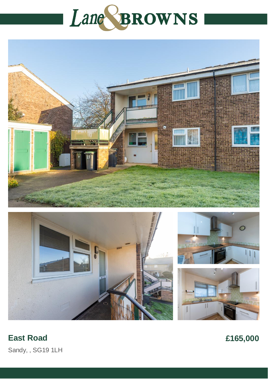## Lane BROWNS









## **East Road**

£165,000

Sandy, , SG19 1LH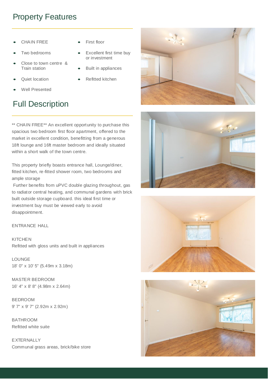## Property Features

- CHAIN FREE
- Two bedrooms
- Close to town centre & Train station
- Quiet location
- Well Presented

## Full Description

- First floor
- Excellent first time buy or investment
- Built in appliances
- Refitted kitchen

\*\* CHAIN FREE\*\* An excellent opportunity to purchase this spacious two bedroom first floor apartment, offered to the market in excellent condition, benefitting from a generous 18ft lounge and 16ft master bedroom and ideally situated within a short walk of the town centre.

This property briefly boasts entrance hall, Lounge/diner, fitted kitchen, re-fitted shower room, two bedrooms and ample storage

Further benefits from uPVC double glazing throughout, gas to radiator central heating, and communal gardens with brick built outside storage cupboard. this ideal first time or investment buy must be viewed early to avoid disappointment.

ENTRANCE HALL

KITCHEN Refitted with gloss units and built in appliances

LOUNGE 18' 0" x 10' 5" (5.49m x 3.18m)

MASTER BEDROOM 16' 4" x 8' 8" (4.98m x 2.64m)

BEDROOM 9' 7" x 9' 7" (2.92m x 2.92m)

**BATHROOM** Refitted white suite

**EXTERNALLY** Communal grass areas, brick/bike store







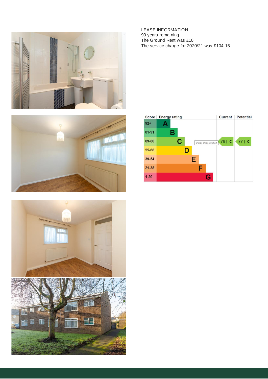





LEASE INFORMATION 93 years remaining The Ground Rent was £10 The service charge for 2020/21 was £104.15.